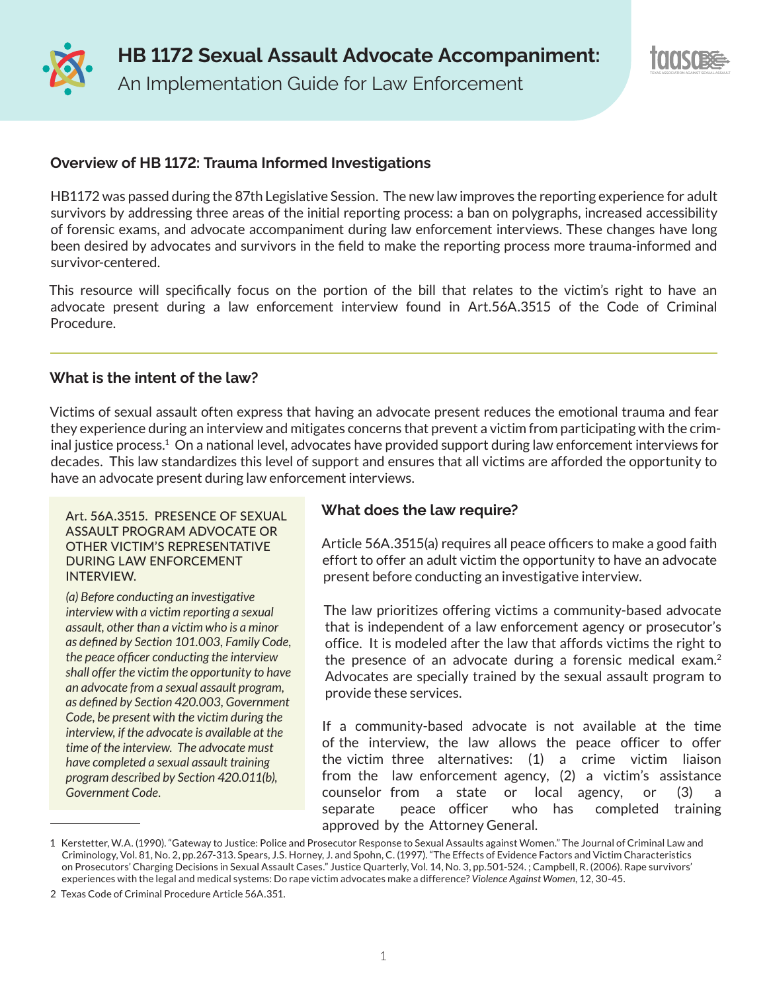



## **Overview of HB 1172: Trauma Informed Investigations**

HB1172 was passed during the 87th Legislative Session. The new law improves the reporting experience for adult survivors by addressing three areas of the initial reporting process: a ban on polygraphs, increased accessibility of forensic exams, and advocate accompaniment during law enforcement interviews. These changes have long been desired by advocates and survivors in the field to make the reporting process more trauma-informed and survivor-centered.

This resource will specifically focus on the portion of the bill that relates to the victim's right to have an advocate present during a law enforcement interview found in Art.56A.3515 of the Code of Criminal Procedure.

## **What is the intent of the law?**

Victims of sexual assault often express that having an advocate present reduces the emotional trauma and fear they experience during an interview and mitigates concerns that prevent a victim from participating with the criminal justice process.1 On a national level, advocates have provided support during law enforcement interviews for decades. This law standardizes this level of support and ensures that all victims are afforded the opportunity to have an advocate present during law enforcement interviews.

#### Art. 56A.3515. PRESENCE OF SEXUAL ASSAULT PROGRAM ADVOCATE OR OTHER VICTIM'S REPRESENTATIVE DURING LAW ENFORCEMENT INTERVIEW.

*(a) Before conducting an investigative interview with a victim reporting a sexual assault, other than a victim who is a minor as defined by Section 101.003, Family Code, the peace officer conducting the interview shall offer the victim the opportunity to have an advocate from a sexual assault program, as defined by Section 420.003, Government Code, be present with the victim during the interview, if the advocate is available at the time of the interview. The advocate must have completed a sexual assault training program described by Section 420.011(b), Government Code.*

# **What does the law require?**

Article 56A.3515(a) requires all peace officers to make a good faith effort to offer an adult victim the opportunity to have an advocate present before conducting an investigative interview.

The law prioritizes offering victims a community-based advocate that is independent of a law enforcement agency or prosecutor's office. It is modeled after the law that affords victims the right to the presence of an advocate during a forensic medical exam.<sup>2</sup> Advocates are specially trained by the sexual assault program to provide these services.

If a community-based advocate is not available at the time of the interview, the law allows the peace officer to offer the victim three alternatives: (1) a crime victim liaison from the law enforcement agency, (2) a victim's assistance counselor from a state or local agency, or (3) a separate peace officer who has completed training approved by the Attorney General.

<sup>1</sup> Kerstetter, W.A. (1990). "Gateway to Justice: Police and Prosecutor Response to Sexual Assaults against Women." The Journal of Criminal Law and Criminology, Vol. 81, No. 2, pp.267-313. Spears, J.S. Horney, J. and Spohn, C. (1997). "The Effects of Evidence Factors and Victim Characteristics on Prosecutors' Charging Decisions in Sexual Assault Cases." Justice Quarterly, Vol. 14, No. 3, pp.501-524. ; Campbell, R. (2006). Rape survivors' experiences with the legal and medical systems: Do rape victim advocates make a difference? *Violence Against Women*, 12, 30-45.

<sup>2</sup> Texas Code of Criminal Procedure Article 56A.351.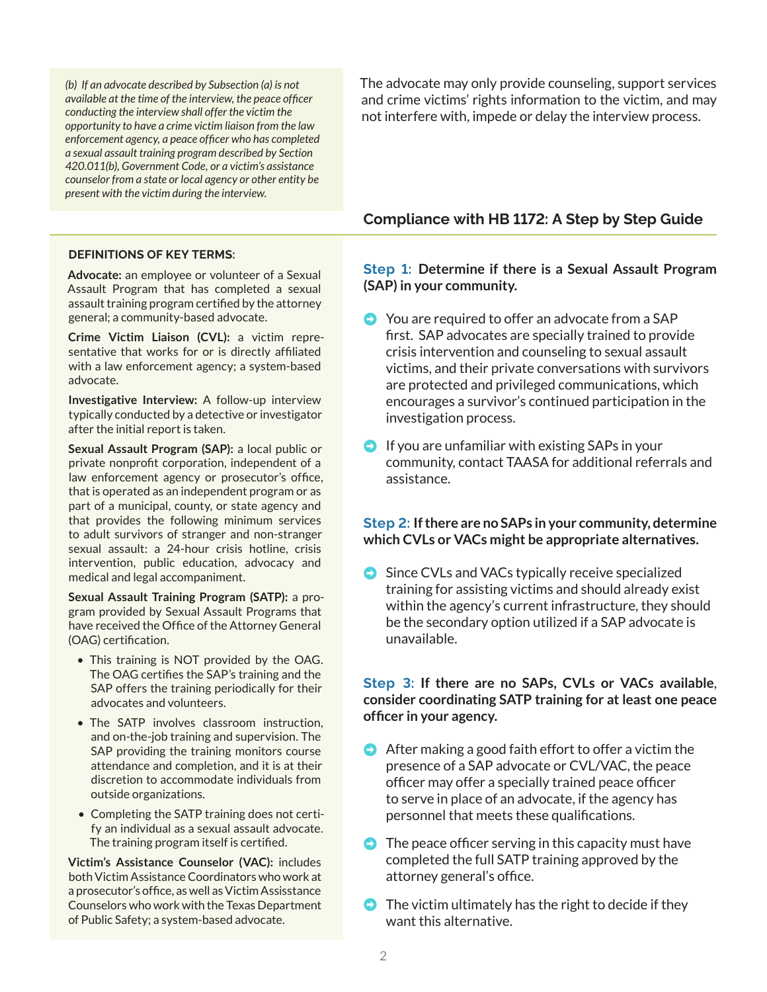*(b) If an advocate described by Subsection (a) is not available at the time of the interview, the peace officer conducting the interview shall offer the victim the opportunity to have a crime victim liaison from the law enforcement agency, a peace officer who has completed a sexual assault training program described by Section 420.011(b), Government Code, or a victim's assistance counselor from a state or local agency or other entity be present with the victim during the interview.*

The advocate may only provide counseling, support services and crime victims' rights information to the victim, and may not interfere with, impede or delay the interview process.

#### **Compliance with HB 1172: A Step by Step Guide**

#### **DEFINITIONS OF KEY TERMS:**

**Advocate:** an employee or volunteer of a Sexual Assault Program that has completed a sexual assault training program certified by the attorney general; a community-based advocate.

**Crime Victim Liaison (CVL):** a victim representative that works for or is directly affiliated with a law enforcement agency; a system-based advocate.

**Investigative Interview:** A follow-up interview typically conducted by a detective or investigator after the initial report is taken.

**Sexual Assault Program (SAP):** a local public or private nonprofit corporation, independent of a law enforcement agency or prosecutor's office, that is operated as an independent program or as part of a municipal, county, or state agency and that provides the following minimum services to adult survivors of stranger and non-stranger sexual assault: a 24-hour crisis hotline, crisis intervention, public education, advocacy and medical and legal accompaniment.

**Sexual Assault Training Program (SATP):** a program provided by Sexual Assault Programs that have received the Office of the Attorney General (OAG) certification.

- This training is NOT provided by the OAG. The OAG certifies the SAP's training and the SAP offers the training periodically for their advocates and volunteers.
- The SATP involves classroom instruction, and on-the-job training and supervision. The SAP providing the training monitors course attendance and completion, and it is at their discretion to accommodate individuals from outside organizations.
- Completing the SATP training does not certify an individual as a sexual assault advocate. The training program itself is certified.

**Victim's Assistance Counselor (VAC):** includes both Victim Assistance Coordinators who work at a prosecutor's office, as well as Victim Assisstance Counselors who work with the Texas Department of Public Safety; a system-based advocate.

**Step 1: Determine if there is a Sexual Assault Program (SAP) in your community.**

- You are required to offer an advocate from a SAP first. SAP advocates are specially trained to provide crisis intervention and counseling to sexual assault victims, and their private conversations with survivors are protected and privileged communications, which encourages a survivor's continued participation in the investigation process.
- $\bullet$  If you are unfamiliar with existing SAPs in your community, contact TAASA for additional referrals and assistance.

#### **Step 2: If there are no SAPs in your community, determine which CVLs or VACs might be appropriate alternatives.**

● Since CVLs and VACs typically receive specialized training for assisting victims and should already exist within the agency's current infrastructure, they should be the secondary option utilized if a SAP advocate is unavailable.

#### **Step 3: If there are no SAPs, CVLs or VACs available**, **consider coordinating SATP training for at least one peace officer in your agency.**

- $\bullet$  After making a good faith effort to offer a victim the presence of a SAP advocate or CVL/VAC, the peace officer may offer a specially trained peace officer to serve in place of an advocate, if the agency has personnel that meets these qualifications.
- $\bullet$  The peace officer serving in this capacity must have completed the full SATP training approved by the attorney general's office.
- $\bullet$  The victim ultimately has the right to decide if they want this alternative.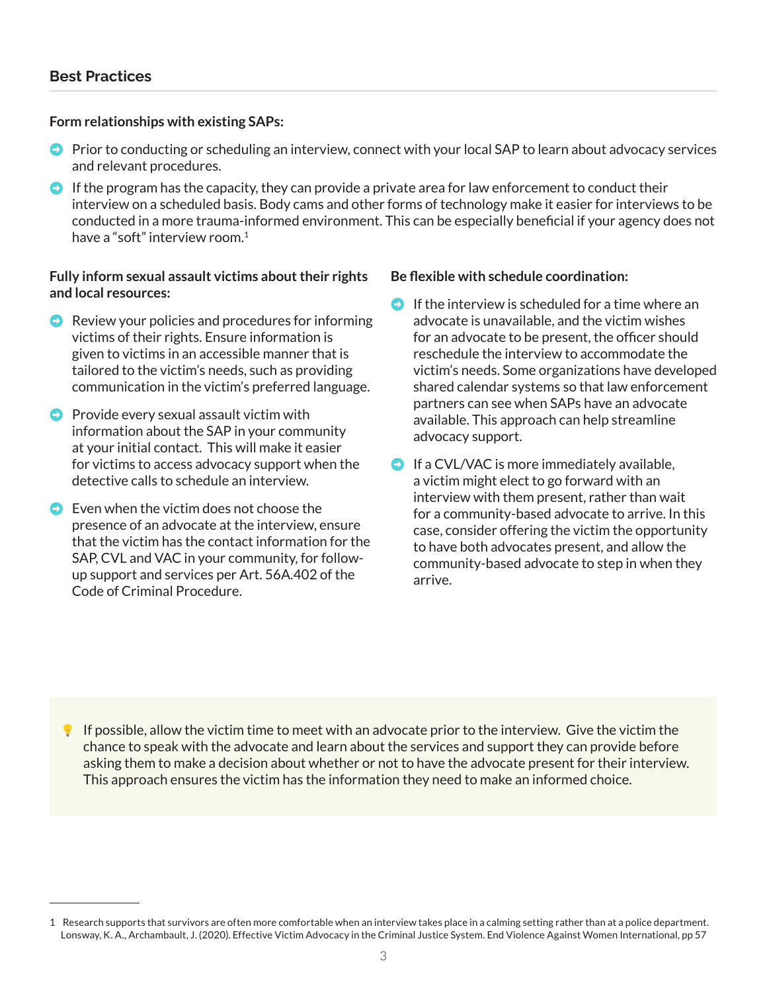## **Form relationships with existing SAPs:**

- Prior to conducting or scheduling an interview, connect with your local SAP to learn about advocacy services and relevant procedures.
- $\bullet$  If the program has the capacity, they can provide a private area for law enforcement to conduct their interview on a scheduled basis. Body cams and other forms of technology make it easier for interviews to be conducted in a more trauma-informed environment. This can be especially beneficial if your agency does not have a "soft" interview room.1

## **Fully inform sexual assault victims about their rights and local resources:**

- $\bullet$  Review your policies and procedures for informing victims of their rights. Ensure information is given to victims in an accessible manner that is tailored to the victim's needs, such as providing communication in the victim's preferred language.
- $\bullet$  Provide every sexual assault victim with information about the SAP in your community at your initial contact. This will make it easier for victims to access advocacy support when the detective calls to schedule an interview.
- $\bullet$  Even when the victim does not choose the presence of an advocate at the interview, ensure that the victim has the contact information for the SAP, CVL and VAC in your community, for followup support and services per Art. 56A.402 of the Code of Criminal Procedure.

## **Be flexible with schedule coordination:**

- $\bullet$  If the interview is scheduled for a time where an advocate is unavailable, and the victim wishes for an advocate to be present, the officer should reschedule the interview to accommodate the victim's needs. Some organizations have developed shared calendar systems so that law enforcement partners can see when SAPs have an advocate available. This approach can help streamline advocacy support.
- $\bullet$  If a CVL/VAC is more immediately available, a victim might elect to go forward with an interview with them present, rather than wait for a community-based advocate to arrive. In this case, consider offering the victim the opportunity to have both advocates present, and allow the community-based advocate to step in when they arrive.

If possible, allow the victim time to meet with an advocate prior to the interview. Give the victim the chance to speak with the advocate and learn about the services and support they can provide before asking them to make a decision about whether or not to have the advocate present for their interview. This approach ensures the victim has the information they need to make an informed choice.

<sup>1</sup> Research supports that survivors are often more comfortable when an interview takes place in a calming setting rather than at a police department. Lonsway, K. A., Archambault, J. (2020). Effective Victim Advocacy in the Criminal Justice System. End Violence Against Women International, pp 57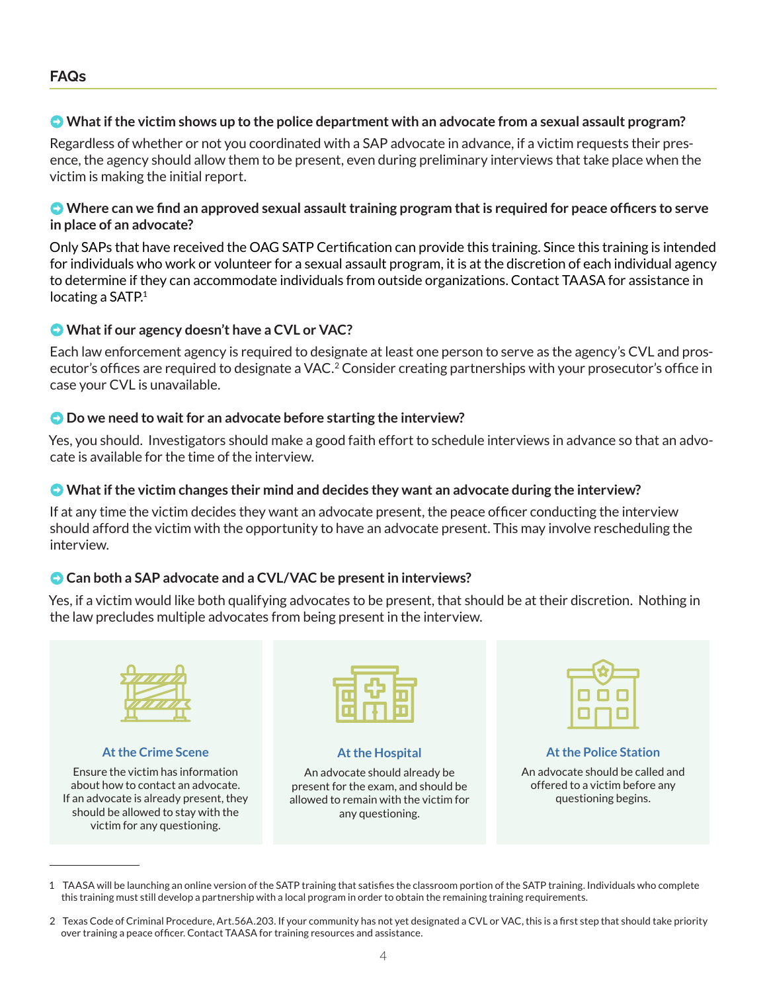## ➡ **What if the victim shows up to the police department with an advocate from a sexual assault program?**

Regardless of whether or not you coordinated with a SAP advocate in advance, if a victim requests their presence, the agency should allow them to be present, even during preliminary interviews that take place when the victim is making the initial report.

## ➡ **Where can we find an approved sexual assault training program that is required for peace officers to serve in place of an advocate?**

Only SAPs that have received the OAG SATP Certification can provide this training. Since this training is intended for individuals who work or volunteer for a sexual assault program, it is at the discretion of each individual agency to determine if they can accommodate individuals from outside organizations. Contact TAASA for assistance in locating a SATP.<sup>1</sup>

# ➡ **What if our agency doesn't have a CVL or VAC?**

Each law enforcement agency is required to designate at least one person to serve as the agency's CVL and prosecutor's offices are required to designate a VAC.<sup>2</sup> Consider creating partnerships with your prosecutor's office in case your CVL is unavailable.

## ➡ **Do we need to wait for an advocate before starting the interview?**

Yes, you should. Investigators should make a good faith effort to schedule interviews in advance so that an advocate is available for the time of the interview.

## ➡ **What if the victim changes their mind and decides they want an advocate during the interview?**

If at any time the victim decides they want an advocate present, the peace officer conducting the interview should afford the victim with the opportunity to have an advocate present. This may involve rescheduling the interview.

# ➡ **Can both a SAP advocate and a CVL/VAC be present in interviews?**

Yes, if a victim would like both qualifying advocates to be present, that should be at their discretion. Nothing in the law precludes multiple advocates from being present in the interview.



## **At the Crime Scene**

Ensure the victim has information about how to contact an advocate. If an advocate is already present, they should be allowed to stay with the victim for any questioning.



**At the Hospital**

An advocate should already be present for the exam, and should be allowed to remain with the victim for any questioning.



# **At the Police Station**

An advocate should be called and offered to a victim before any questioning begins.

<sup>1</sup> TAASA will be launching an online version of the SATP training that satisfies the classroom portion of the SATP training. Individuals who complete this training must still develop a partnership with a local program in order to obtain the remaining training requirements.

<sup>2</sup> Texas Code of Criminal Procedure, Art.56A.203. If your community has not yet designated a CVL or VAC, this is a first step that should take priority over training a peace officer. Contact TAASA for training resources and assistance.